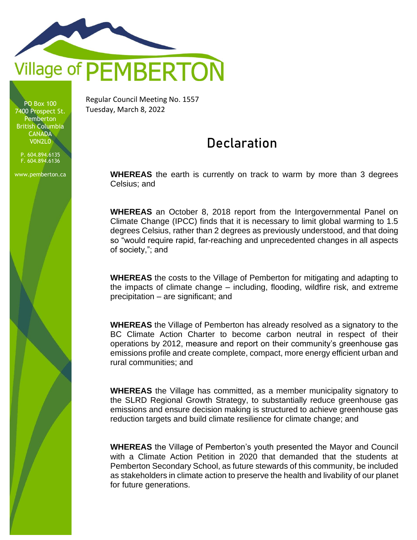

PO Box 100 7400 Prospect St. **Pemberton** British Columbia **CANADA** V0N2L0

P. 604.894.6135 F. 604.894.6136

www.pemberton.ca

Regular Council Meeting No. 1557 Tuesday, March 8, 2022

## Declaration

**WHEREAS** the earth is currently on track to warm by more than 3 degrees Celsius; and

**WHEREAS** an October 8, 2018 report from the Intergovernmental Panel on Climate Change (IPCC) finds that it is necessary to limit global warming to 1.5 degrees Celsius, rather than 2 degrees as previously understood, and that doing so "would require rapid, far-reaching and unprecedented changes in all aspects of society,"; and

**WHEREAS** the costs to the Village of Pemberton for mitigating and adapting to the impacts of climate change – including, flooding, wildfire risk, and extreme precipitation – are significant; and

**WHEREAS** the Village of Pemberton has already resolved as a signatory to the BC Climate Action Charter to become carbon neutral in respect of their operations by 2012, measure and report on their community's greenhouse gas emissions profile and create complete, compact, more energy efficient urban and rural communities; and

**WHEREAS** the Village has committed, as a member municipality signatory to the SLRD Regional Growth Strategy, to substantially reduce greenhouse gas emissions and ensure decision making is structured to achieve greenhouse gas reduction targets and build climate resilience for climate change; and

**WHEREAS** the Village of Pemberton's youth presented the Mayor and Council with a Climate Action Petition in 2020 that demanded that the students at Pemberton Secondary School, as future stewards of this community, be included as stakeholders in climate action to preserve the health and livability of our planet for future generations.